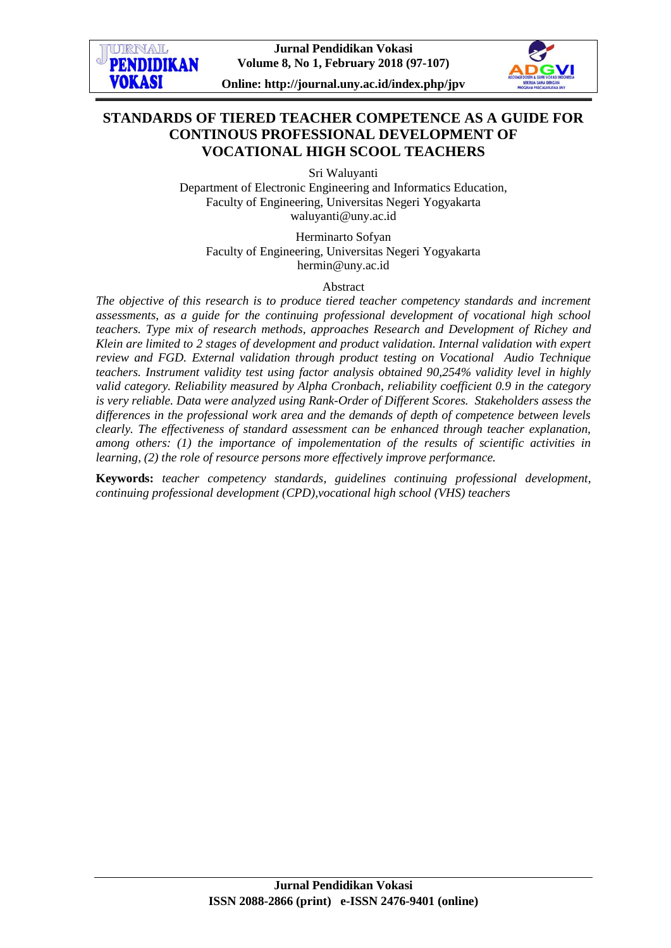



## **STANDARDS OF TIERED TEACHER COMPETENCE AS A GUIDE FOR CONTINOUS PROFESSIONAL DEVELOPMENT OF VOCATIONAL HIGH SCOOL TEACHERS**

Sri Waluyanti

Department of Electronic Engineering and Informatics Education, Faculty of Engineering, Universitas Negeri Yogyakarta [waluyanti@uny.ac.id](mailto:waluyanti@uny.ac.id)

Herminarto Sofyan Faculty of Engineering, Universitas Negeri Yogyakarta [hermin@uny.ac.id](mailto:hermin@uny.ac.id)

Abstract

*The objective of this research is to produce tiered teacher competency standards and increment assessments, as a guide for the continuing professional development of vocational high school teachers. Type mix of research methods, approaches Research and Development of Richey and Klein are limited to 2 stages of development and product validation. Internal validation with expert review and FGD. External validation through product testing on Vocational Audio Technique teachers. Instrument validity test using factor analysis obtained 90,254% validity level in highly valid category. Reliability measured by Alpha Cronbach, reliability coefficient 0.9 in the category is very reliable. Data were analyzed using Rank-Order of Different Scores. Stakeholders assess the differences in the professional work area and the demands of depth of competence between levels clearly. The effectiveness of standard assessment can be enhanced through teacher explanation, among others: (1) the importance of impolementation of the results of scientific activities in learning, (2) the role of resource persons more effectively improve performance.*

**Keywords:** *teacher competency standards, guidelines continuing professional development, continuing professional development (CPD),vocational high school (VHS) teachers*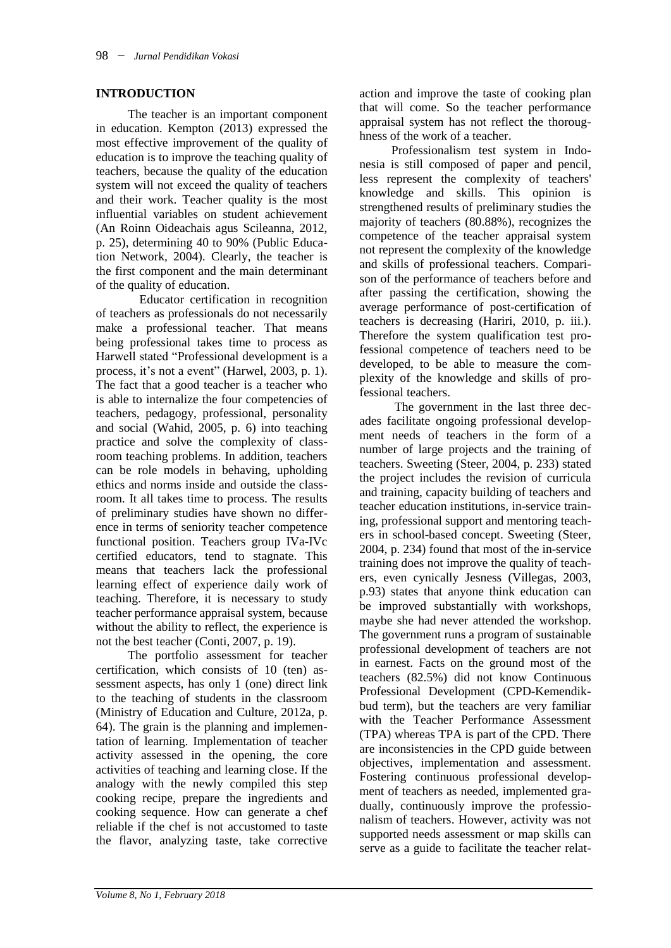#### **INTRODUCTION**

The teacher is an important component in education. Kempton (2013) expressed the most effective improvement of the quality of education is to improve the teaching quality of teachers, because the quality of the education system will not exceed the quality of teachers and their work. Teacher quality is the most influential variables on student achievement (An Roinn Oideachais agus Scileanna, 2012, p. 25), determining 40 to 90% (Public Education Network, 2004). Clearly, the teacher is the first component and the main determinant of the quality of education.

 Educator certification in recognition of teachers as professionals do not necessarily make a professional teacher. That means being professional takes time to process as Harwell stated "Professional development is a process, it's not a event" (Harwel, 2003, p. 1). The fact that a good teacher is a teacher who is able to internalize the four competencies of teachers, pedagogy, professional, personality and social (Wahid, 2005, p. 6) into teaching practice and solve the complexity of classroom teaching problems. In addition, teachers can be role models in behaving, upholding ethics and norms inside and outside the classroom. It all takes time to process. The results of preliminary studies have shown no difference in terms of seniority teacher competence functional position. Teachers group IVa-IVc certified educators, tend to stagnate. This means that teachers lack the professional learning effect of experience daily work of teaching. Therefore, it is necessary to study teacher performance appraisal system, because without the ability to reflect, the experience is not the best teacher (Conti, 2007, p. 19).

The portfolio assessment for teacher certification, which consists of 10 (ten) assessment aspects, has only 1 (one) direct link to the teaching of students in the classroom (Ministry of Education and Culture, 2012a, p. 64). The grain is the planning and implementation of learning. Implementation of teacher activity assessed in the opening, the core activities of teaching and learning close. If the analogy with the newly compiled this step cooking recipe, prepare the ingredients and cooking sequence. How can generate a chef reliable if the chef is not accustomed to taste the flavor, analyzing taste, take corrective

action and improve the taste of cooking plan that will come. So the teacher performance appraisal system has not reflect the thoroughness of the work of a teacher.

Professionalism test system in Indonesia is still composed of paper and pencil, less represent the complexity of teachers' knowledge and skills. This opinion is strengthened results of preliminary studies the majority of teachers (80.88%), recognizes the competence of the teacher appraisal system not represent the complexity of the knowledge and skills of professional teachers. Comparison of the performance of teachers before and after passing the certification, showing the average performance of post-certification of teachers is decreasing (Hariri, 2010, p. iii.). Therefore the system qualification test professional competence of teachers need to be developed, to be able to measure the complexity of the knowledge and skills of professional teachers.

The government in the last three decades facilitate ongoing professional development needs of teachers in the form of a number of large projects and the training of teachers. Sweeting (Steer, 2004, p. 233) stated the project includes the revision of curricula and training, capacity building of teachers and teacher education institutions, in-service training, professional support and mentoring teachers in school-based concept. Sweeting (Steer, 2004, p. 234) found that most of the in-service training does not improve the quality of teachers, even cynically Jesness (Villegas, 2003, p.93) states that anyone think education can be improved substantially with workshops, maybe she had never attended the workshop. The government runs a program of sustainable professional development of teachers are not in earnest. Facts on the ground most of the teachers (82.5%) did not know Continuous Professional Development (CPD-Kemendikbud term), but the teachers are very familiar with the Teacher Performance Assessment (TPA) whereas TPA is part of the CPD. There are inconsistencies in the CPD guide between objectives, implementation and assessment. Fostering continuous professional development of teachers as needed, implemented gradually, continuously improve the professionalism of teachers. However, activity was not supported needs assessment or map skills can serve as a guide to facilitate the teacher relat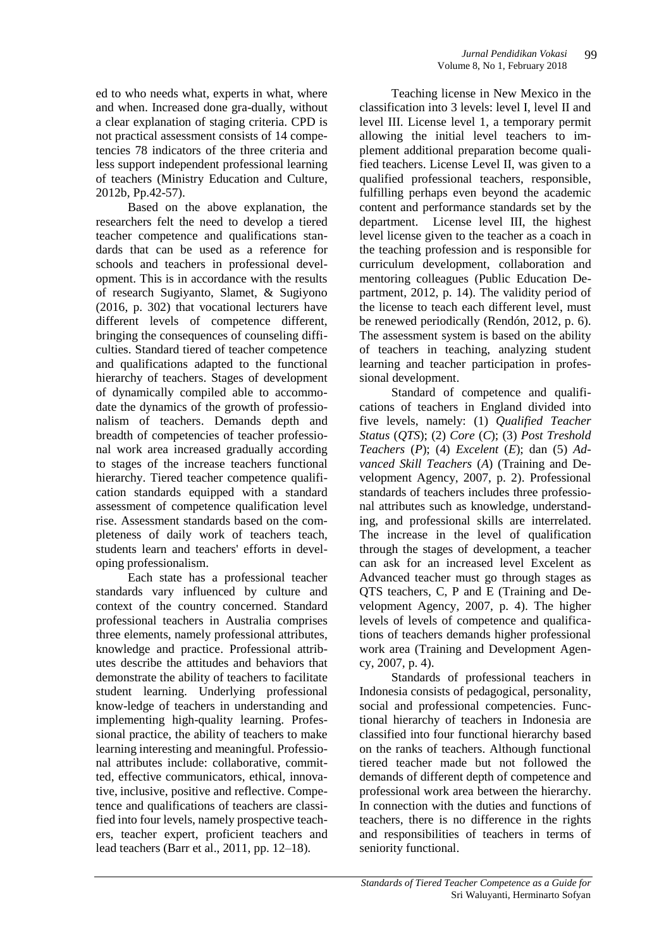ed to who needs what, experts in what, where and when. Increased done gra-dually, without a clear explanation of staging criteria. CPD is not practical assessment consists of 14 competencies 78 indicators of the three criteria and less support independent professional learning of teachers (Ministry Education and Culture, 2012b, Pp.42-57).

Based on the above explanation, the researchers felt the need to develop a tiered teacher competence and qualifications standards that can be used as a reference for schools and teachers in professional development. This is in accordance with the results of research Sugiyanto, Slamet, & Sugiyono (2016, p. 302) that vocational lecturers have different levels of competence different, bringing the consequences of counseling difficulties. Standard tiered of teacher competence and qualifications adapted to the functional hierarchy of teachers. Stages of development of dynamically compiled able to accommodate the dynamics of the growth of professionalism of teachers. Demands depth and breadth of competencies of teacher professional work area increased gradually according to stages of the increase teachers functional hierarchy. Tiered teacher competence qualification standards equipped with a standard assessment of competence qualification level rise. Assessment standards based on the completeness of daily work of teachers teach, students learn and teachers' efforts in developing professionalism.

Each state has a professional teacher standards vary influenced by culture and context of the country concerned. Standard professional teachers in Australia comprises three elements, namely professional attributes, knowledge and practice. Professional attributes describe the attitudes and behaviors that demonstrate the ability of teachers to facilitate student learning. Underlying professional know-ledge of teachers in understanding and implementing high-quality learning. Professional practice, the ability of teachers to make learning interesting and meaningful. Professional attributes include: collaborative, committed, effective communicators, ethical, innovative, inclusive, positive and reflective. Competence and qualifications of teachers are classified into four levels, namely prospective teachers, teacher expert, proficient teachers and lead teachers (Barr et al., 2011, pp. 12–18).

Teaching license in New Mexico in the classification into 3 levels: level I, level II and level III. License level 1, a temporary permit allowing the initial level teachers to implement additional preparation become qualified teachers. License Level II, was given to a qualified professional teachers, responsible, fulfilling perhaps even beyond the academic content and performance standards set by the department. License level III, the highest level license given to the teacher as a coach in the teaching profession and is responsible for curriculum development, collaboration and mentoring colleagues (Public Education Department, 2012, p. 14). The validity period of the license to teach each different level, must be renewed periodically (Rendón, 2012, p. 6). The assessment system is based on the ability of teachers in teaching, analyzing student learning and teacher participation in professional development.

Standard of competence and qualifications of teachers in England divided into five levels, namely: (1) *Qualified Teacher Status* (*QTS*); (2) *Core* (*C*); (3) *Post Treshold Teachers* (*P*); (4) *Excelent* (*E*); dan (5) *Advanced Skill Teachers* (*A*) (Training and Development Agency, 2007, p. 2). Professional standards of teachers includes three professional attributes such as knowledge, understanding, and professional skills are interrelated. The increase in the level of qualification through the stages of development, a teacher can ask for an increased level Excelent as Advanced teacher must go through stages as QTS teachers, C, P and E (Training and Development Agency, 2007, p. 4). The higher levels of levels of competence and qualifications of teachers demands higher professional work area (Training and Development Agency, 2007, p. 4).

Standards of professional teachers in Indonesia consists of pedagogical, personality, social and professional competencies. Functional hierarchy of teachers in Indonesia are classified into four functional hierarchy based on the ranks of teachers. Although functional tiered teacher made but not followed the demands of different depth of competence and professional work area between the hierarchy. In connection with the duties and functions of teachers, there is no difference in the rights and responsibilities of teachers in terms of seniority functional.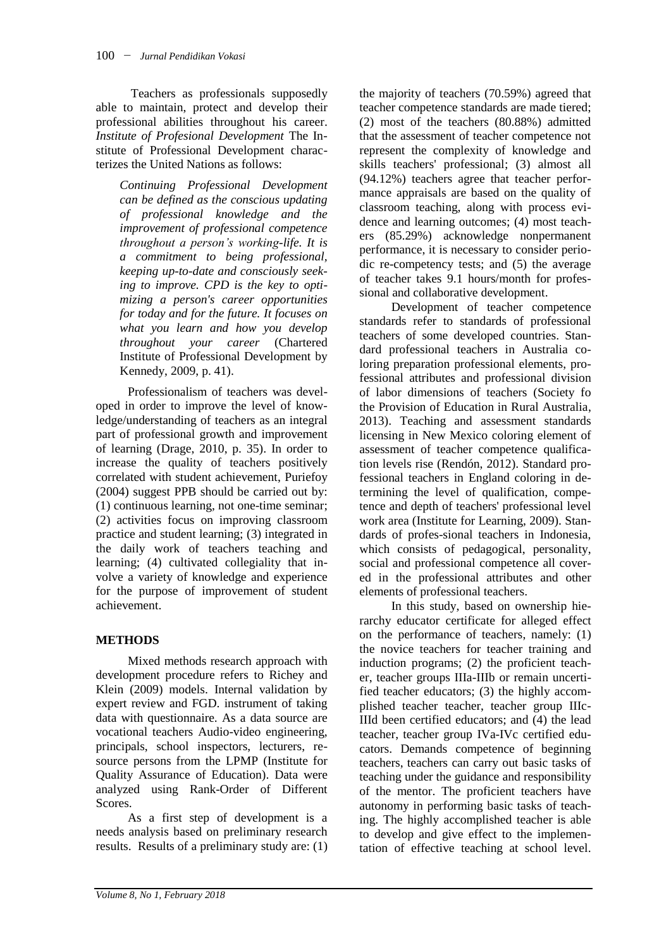Teachers as professionals supposedly able to maintain, protect and develop their professional abilities throughout his career. *Institute of Profesional Development* The Institute of Professional Development characterizes the United Nations as follows:

*Continuing Professional Development can be defined as the conscious updating of professional knowledge and the improvement of professional competence throughout a person's working-life. It is a commitment to being professional, keeping up-to-date and consciously seeking to improve. CPD is the key to optimizing a person's career opportunities for today and for the future. It focuses on what you learn and how you develop throughout your career* (Chartered Institute of Professional Development by Kennedy, 2009, p. 41).

Professionalism of teachers was developed in order to improve the level of knowledge/understanding of teachers as an integral part of professional growth and improvement of learning (Drage, 2010, p. 35). In order to increase the quality of teachers positively correlated with student achievement, Puriefoy (2004) suggest PPB should be carried out by: (1) continuous learning, not one-time seminar; (2) activities focus on improving classroom practice and student learning; (3) integrated in the daily work of teachers teaching and learning; (4) cultivated collegiality that involve a variety of knowledge and experience for the purpose of improvement of student achievement.

# **METHODS**

Mixed methods research approach with development procedure refers to Richey and Klein (2009) models. Internal validation by expert review and FGD. instrument of taking data with questionnaire. As a data source are vocational teachers Audio-video engineering, principals, school inspectors, lecturers, resource persons from the LPMP (Institute for Quality Assurance of Education). Data were analyzed using Rank-Order of Different Scores.

As a first step of development is a needs analysis based on preliminary research results. Results of a preliminary study are: (1)

the majority of teachers (70.59%) agreed that teacher competence standards are made tiered; (2) most of the teachers (80.88%) admitted that the assessment of teacher competence not represent the complexity of knowledge and skills teachers' professional; (3) almost all (94.12%) teachers agree that teacher performance appraisals are based on the quality of classroom teaching, along with process evidence and learning outcomes; (4) most teachers (85.29%) acknowledge nonpermanent performance, it is necessary to consider periodic re-competency tests; and (5) the average of teacher takes 9.1 hours/month for professional and collaborative development.

Development of teacher competence standards refer to standards of professional teachers of some developed countries. Standard professional teachers in Australia coloring preparation professional elements, professional attributes and professional division of labor dimensions of teachers (Society fo the Provision of Education in Rural Australia, 2013). Teaching and assessment standards licensing in New Mexico coloring element of assessment of teacher competence qualification levels rise (Rendón, 2012). Standard professional teachers in England coloring in determining the level of qualification, competence and depth of teachers' professional level work area (Institute for Learning, 2009). Standards of profes-sional teachers in Indonesia, which consists of pedagogical, personality, social and professional competence all covered in the professional attributes and other elements of professional teachers.

In this study, based on ownership hierarchy educator certificate for alleged effect on the performance of teachers, namely: (1) the novice teachers for teacher training and induction programs; (2) the proficient teacher, teacher groups IIIa-IIIb or remain uncertified teacher educators; (3) the highly accomplished teacher teacher, teacher group IIIc-IIId been certified educators; and (4) the lead teacher, teacher group IVa-IVc certified educators. Demands competence of beginning teachers, teachers can carry out basic tasks of teaching under the guidance and responsibility of the mentor. The proficient teachers have autonomy in performing basic tasks of teaching. The highly accomplished teacher is able to develop and give effect to the implementation of effective teaching at school level.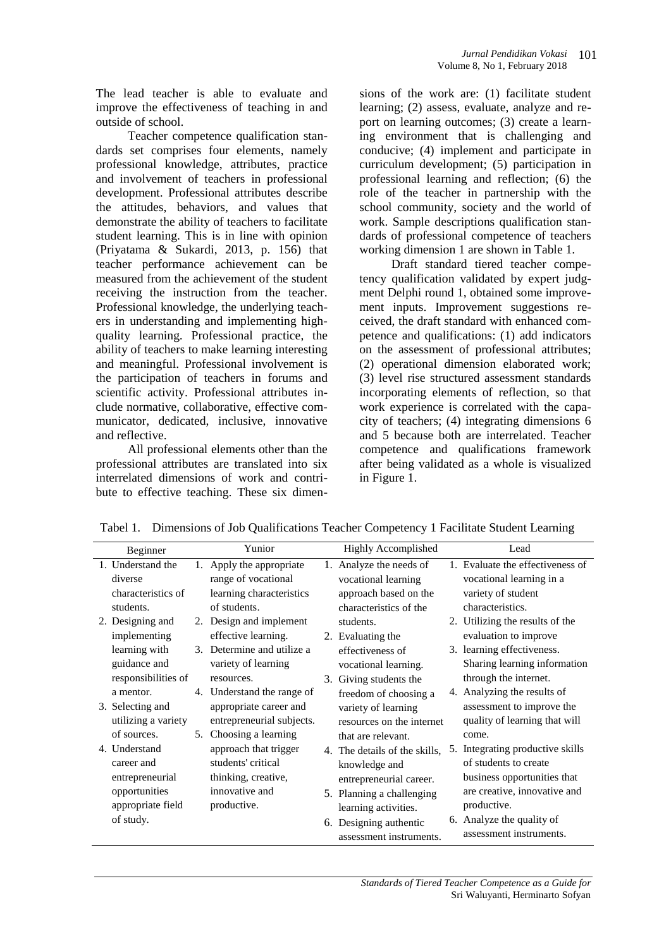The lead teacher is able to evaluate and improve the effectiveness of teaching in and outside of school.

Teacher competence qualification standards set comprises four elements, namely professional knowledge, attributes, practice and involvement of teachers in professional development. Professional attributes describe the attitudes, behaviors, and values that demonstrate the ability of teachers to facilitate student learning. This is in line with opinion (Priyatama & Sukardi, 2013, p. 156) that teacher performance achievement can be measured from the achievement of the student receiving the instruction from the teacher. Professional knowledge, the underlying teachers in understanding and implementing highquality learning. Professional practice, the ability of teachers to make learning interesting and meaningful. Professional involvement is the participation of teachers in forums and scientific activity. Professional attributes include normative, collaborative, effective communicator, dedicated, inclusive, innovative and reflective.

All professional elements other than the professional attributes are translated into six interrelated dimensions of work and contribute to effective teaching. These six dimensions of the work are: (1) facilitate student learning; (2) assess, evaluate, analyze and report on learning outcomes; (3) create a learning environment that is challenging and conducive; (4) implement and participate in curriculum development; (5) participation in professional learning and reflection; (6) the role of the teacher in partnership with the school community, society and the world of work. Sample descriptions qualification standards of professional competence of teachers working dimension 1 are shown in Table 1.

Draft standard tiered teacher competency qualification validated by expert judgment Delphi round 1, obtained some improvement inputs. Improvement suggestions received, the draft standard with enhanced competence and qualifications: (1) add indicators on the assessment of professional attributes; (2) operational dimension elaborated work; (3) level rise structured assessment standards incorporating elements of reflection, so that work experience is correlated with the capacity of teachers; (4) integrating dimensions 6 and 5 because both are interrelated. Teacher competence and qualifications framework after being validated as a whole is visualized in Figure 1.

| Beginner            |    | Yunior                     |    | <b>Highly Accomplished</b>    | Lead                             |
|---------------------|----|----------------------------|----|-------------------------------|----------------------------------|
| 1. Understand the   | 1. | Apply the appropriate      |    | 1. Analyze the needs of       | 1. Evaluate the effectiveness of |
| diverse             |    | range of vocational        |    | vocational learning           | vocational learning in a         |
| characteristics of  |    | learning characteristics   |    | approach based on the         | variety of student               |
| students.           |    | of students.               |    | characteristics of the        | characteristics.                 |
| 2. Designing and    |    | 2. Design and implement    |    | students.                     | 2. Utilizing the results of the  |
| implementing        |    | effective learning.        |    | 2. Evaluating the             | evaluation to improve            |
| learning with       |    | 3. Determine and utilize a |    | effectiveness of              | 3. learning effectiveness.       |
| guidance and        |    | variety of learning        |    | vocational learning.          | Sharing learning information     |
| responsibilities of |    | resources.                 | 3. | Giving students the           | through the internet.            |
| a mentor.           |    | 4. Understand the range of |    | freedom of choosing a         | 4. Analyzing the results of      |
| 3. Selecting and    |    | appropriate career and     |    | variety of learning           | assessment to improve the        |
| utilizing a variety |    | entrepreneurial subjects.  |    | resources on the internet     | quality of learning that will    |
| of sources.         | 5. | Choosing a learning        |    | that are relevant.            | come.                            |
| 4. Understand       |    | approach that trigger      |    | 4. The details of the skills. | 5. Integrating productive skills |
| career and          |    | students' critical         |    | knowledge and                 | of students to create            |
| entrepreneurial     |    | thinking, creative,        |    | entrepreneurial career.       | business opportunities that      |
| opportunities       |    | innovative and             |    | 5. Planning a challenging     | are creative, innovative and     |
| appropriate field   |    | productive.                |    | learning activities.          | productive.                      |
| of study.           |    |                            | 6. | Designing authentic           | 6. Analyze the quality of        |
|                     |    |                            |    | assessment instruments.       | assessment instruments.          |

Tabel 1. Dimensions of Job Qualifications Teacher Competency 1 Facilitate Student Learning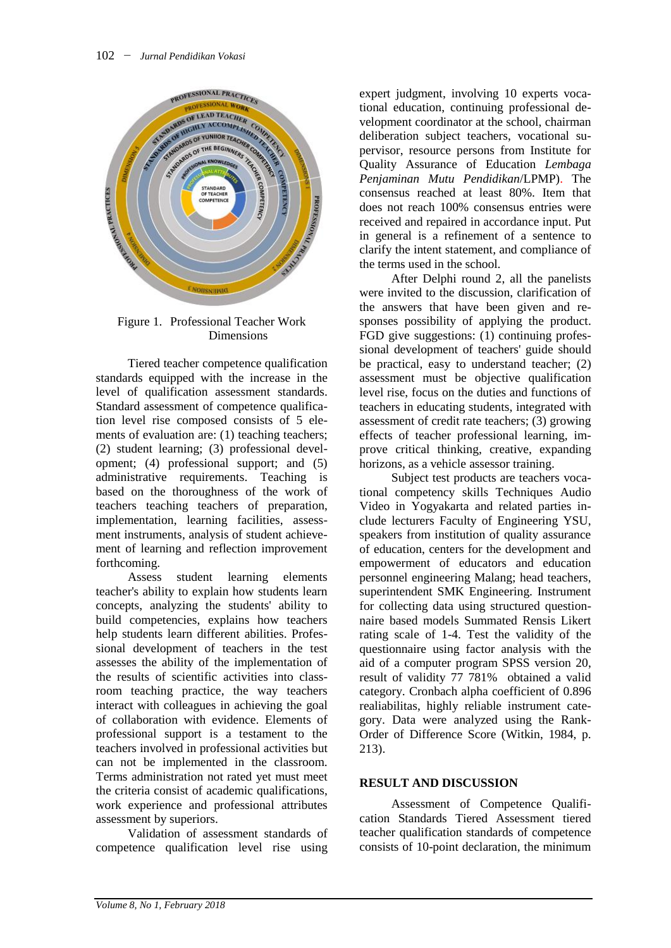

Figure 1. Professional Teacher Work Dimensions

Tiered teacher competence qualification standards equipped with the increase in the level of qualification assessment standards. Standard assessment of competence qualification level rise composed consists of 5 elements of evaluation are: (1) teaching teachers; (2) student learning; (3) professional development; (4) professional support; and (5) administrative requirements. Teaching is based on the thoroughness of the work of teachers teaching teachers of preparation, implementation, learning facilities, assessment instruments, analysis of student achievement of learning and reflection improvement forthcoming.

Assess student learning elements teacher's ability to explain how students learn concepts, analyzing the students' ability to build competencies, explains how teachers help students learn different abilities. Professional development of teachers in the test assesses the ability of the implementation of the results of scientific activities into classroom teaching practice, the way teachers interact with colleagues in achieving the goal of collaboration with evidence. Elements of professional support is a testament to the teachers involved in professional activities but can not be implemented in the classroom. Terms administration not rated yet must meet the criteria consist of academic qualifications, work experience and professional attributes assessment by superiors.

Validation of assessment standards of competence qualification level rise using expert judgment, involving 10 experts vocational education, continuing professional development coordinator at the school, chairman deliberation subject teachers, vocational supervisor, resource persons from Institute for Quality Assurance of Education *Lembaga Penjaminan Mutu Pendidikan*/LPMP). The consensus reached at least 80%. Item that does not reach 100% consensus entries were received and repaired in accordance input. Put in general is a refinement of a sentence to clarify the intent statement, and compliance of the terms used in the school.

After Delphi round 2, all the panelists were invited to the discussion, clarification of the answers that have been given and responses possibility of applying the product. FGD give suggestions: (1) continuing professional development of teachers' guide should be practical, easy to understand teacher; (2) assessment must be objective qualification level rise, focus on the duties and functions of teachers in educating students, integrated with assessment of credit rate teachers; (3) growing effects of teacher professional learning, improve critical thinking, creative, expanding horizons, as a vehicle assessor training.

Subject test products are teachers vocational competency skills Techniques Audio Video in Yogyakarta and related parties include lecturers Faculty of Engineering YSU, speakers from institution of quality assurance of education, centers for the development and empowerment of educators and education personnel engineering Malang; head teachers, superintendent SMK Engineering. Instrument for collecting data using structured questionnaire based models Summated Rensis Likert rating scale of 1-4. Test the validity of the questionnaire using factor analysis with the aid of a computer program SPSS version 20, result of validity 77 781% obtained a valid category. Cronbach alpha coefficient of 0.896 realiabilitas, highly reliable instrument category. Data were analyzed using the Rank-Order of Difference Score (Witkin, 1984, p. 213).

#### **RESULT AND DISCUSSION**

Assessment of Competence Qualification Standards Tiered Assessment tiered teacher qualification standards of competence consists of 10-point declaration, the minimum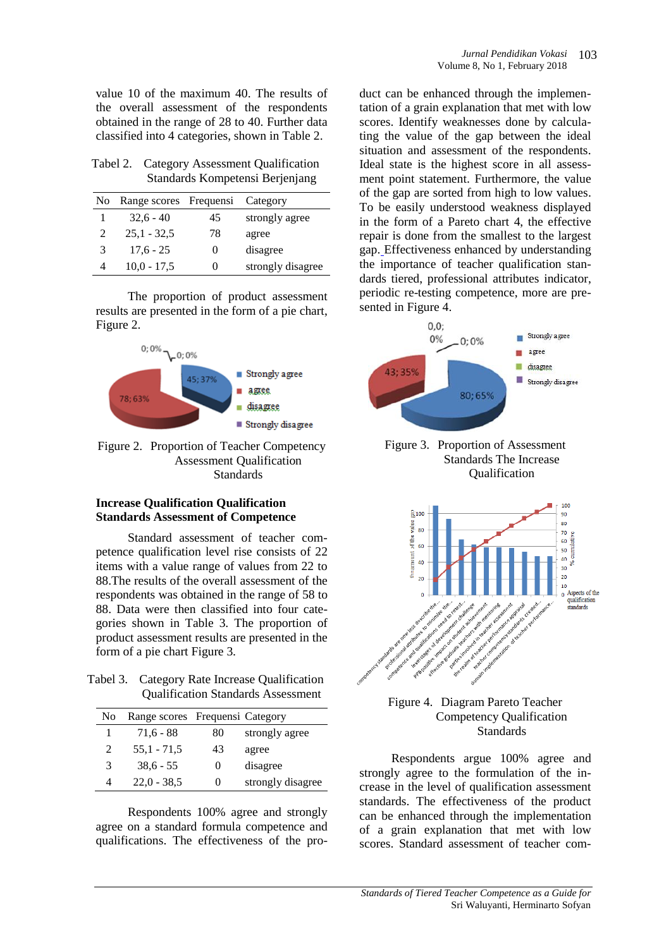value 10 of the maximum 40. The results of the overall assessment of the respondents obtained in the range of 28 to 40. Further data classified into 4 categories, shown in Table 2.

| Tabel 2. Category Assessment Qualification |
|--------------------------------------------|
| Standards Kompetensi Berjenjang            |

| N <sub>o</sub> | Range scores Frequensi Category |                   |                   |
|----------------|---------------------------------|-------------------|-------------------|
|                | $32.6 - 40$                     | 45                | strongly agree    |
| 2              | $25.1 - 32.5$                   | 78                | agree             |
| 3              | $17.6 - 25$                     | 0                 | disagree          |
| 4              | $10,0 - 17,5$                   | $\mathbf{\Omega}$ | strongly disagree |

The proportion of product assessment results are presented in the form of a pie chart, Figure 2.



Figure 2. Proportion of Teacher Competency Assessment Qualification Standards

#### **Increase Qualification Qualification Standards Assessment of Competence**

Standard assessment of teacher competence qualification level rise consists of 22 items with a value range of values from 22 to 88.The results of the overall assessment of the respondents was obtained in the range of 58 to 88. Data were then classified into four categories shown in Table 3. The proportion of product assessment results are presented in the form of a pie chart Figure 3.

Tabel 3. Category Rate Increase Qualification Qualification Standards Assessment

| N <sub>0</sub> | Range scores Frequensi Category |    |                   |
|----------------|---------------------------------|----|-------------------|
|                | $71.6 - 88$                     | 80 | strongly agree    |
| $\mathcal{L}$  | 55,1 - 71,5                     | 43 | agree             |
| 3              | $38.6 - 55$                     |    | disagree          |
|                | $22.0 - 38.5$                   |    | strongly disagree |

Respondents 100% agree and strongly agree on a standard formula competence and qualifications. The effectiveness of the pro-

duct can be enhanced through the implementation of a grain explanation that met with low scores. Identify weaknesses done by calculating the value of the gap between the ideal situation and assessment of the respondents. Ideal state is the highest score in all assessment point statement. Furthermore, the value of the gap are sorted from high to low values. To be easily understood weakness displayed in the form of a Pareto chart 4, the effective repair is done from the smallest to the largest gap. Effectiveness enhanced by understanding the importance of teacher qualification standards tiered, professional attributes indicator, periodic re-testing competence, more are presented in Figure 4.



Figure 3. Proportion of Assessment Standards The Increase Qualification





Respondents argue 100% agree and strongly agree to the formulation of the increase in the level of qualification assessment standards. The effectiveness of the product can be enhanced through the implementation of a grain explanation that met with low scores. Standard assessment of teacher com-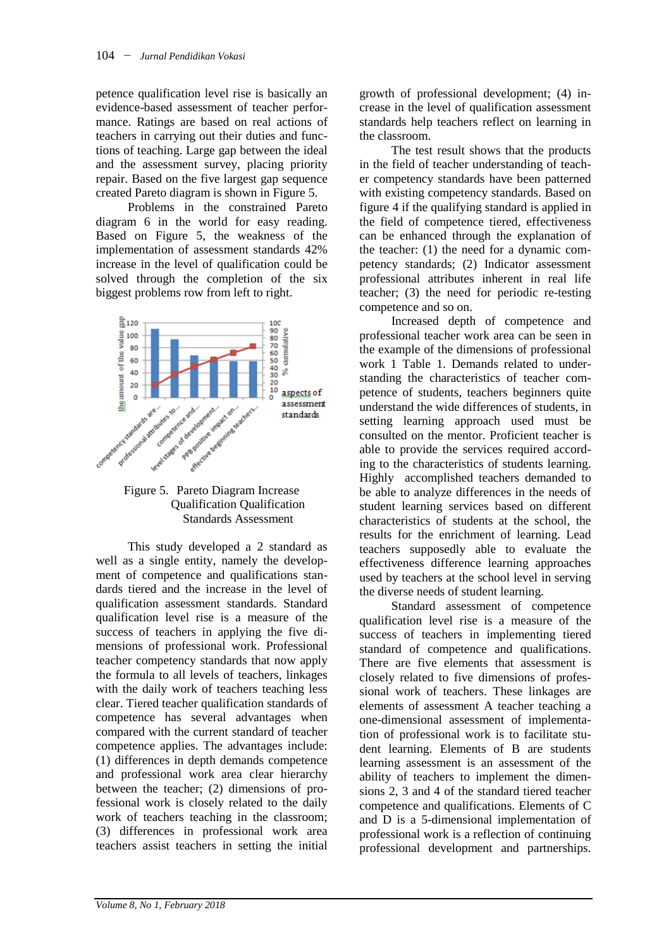petence qualification level rise is basically an evidence-based assessment of teacher performance. Ratings are based on real actions of teachers in carrying out their duties and functions of teaching. Large gap between the ideal and the assessment survey, placing priority repair. Based on the five largest gap sequence created Pareto diagram is shown in Figure 5.

Problems in the constrained Pareto diagram 6 in the world for easy reading. Based on Figure 5, the weakness of the implementation of assessment standards 42% increase in the level of qualification could be solved through the completion of the six biggest problems row from left to right.



Figure 5. Pareto Diagram Increase Qualification Qualification Standards Assessment

This study developed a 2 standard as well as a single entity, namely the development of competence and qualifications standards tiered and the increase in the level of qualification assessment standards. Standard qualification level rise is a measure of the success of teachers in applying the five dimensions of professional work. Professional teacher competency standards that now apply the formula to all levels of teachers, linkages with the daily work of teachers teaching less clear. Tiered teacher qualification standards of competence has several advantages when compared with the current standard of teacher competence applies. The advantages include: (1) differences in depth demands competence and professional work area clear hierarchy between the teacher; (2) dimensions of professional work is closely related to the daily work of teachers teaching in the classroom; (3) differences in professional work area teachers assist teachers in setting the initial

growth of professional development; (4) increase in the level of qualification assessment standards help teachers reflect on learning in the classroom.

The test result shows that the products in the field of teacher understanding of teacher competency standards have been patterned with existing competency standards. Based on figure 4 if the qualifying standard is applied in the field of competence tiered, effectiveness can be enhanced through the explanation of the teacher: (1) the need for a dynamic competency standards; (2) Indicator assessment professional attributes inherent in real life teacher; (3) the need for periodic re-testing competence and so on.

Increased depth of competence and professional teacher work area can be seen in the example of the dimensions of professional work 1 Table 1. Demands related to understanding the characteristics of teacher competence of students, teachers beginners quite understand the wide differences of students, in setting learning approach used must be consulted on the mentor. Proficient teacher is able to provide the services required according to the characteristics of students learning. Highly accomplished teachers demanded to be able to analyze differences in the needs of student learning services based on different characteristics of students at the school, the results for the enrichment of learning. Lead teachers supposedly able to evaluate the effectiveness difference learning approaches used by teachers at the school level in serving the diverse needs of student learning.

Standard assessment of competence qualification level rise is a measure of the success of teachers in implementing tiered standard of competence and qualifications. There are five elements that assessment is closely related to five dimensions of professional work of teachers. These linkages are elements of assessment A teacher teaching a one-dimensional assessment of implementation of professional work is to facilitate student learning. Elements of B are students learning assessment is an assessment of the ability of teachers to implement the dimensions 2, 3 and 4 of the standard tiered teacher competence and qualifications. Elements of C and D is a 5-dimensional implementation of professional work is a reflection of continuing professional development and partnerships.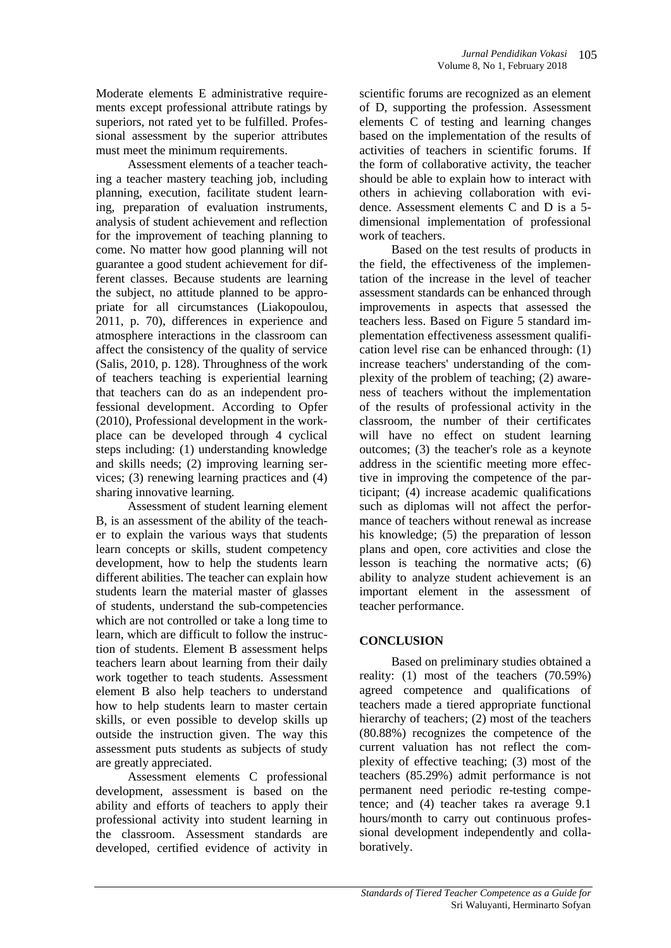Moderate elements E administrative requirements except professional attribute ratings by superiors, not rated yet to be fulfilled. Professional assessment by the superior attributes must meet the minimum requirements.

Assessment elements of a teacher teaching a teacher mastery teaching job, including planning, execution, facilitate student learning, preparation of evaluation instruments, analysis of student achievement and reflection for the improvement of teaching planning to come. No matter how good planning will not guarantee a good student achievement for different classes. Because students are learning the subject, no attitude planned to be appropriate for all circumstances (Liakopoulou, 2011, p. 70), differences in experience and atmosphere interactions in the classroom can affect the consistency of the quality of service (Salis, 2010, p. 128). Throughness of the work of teachers teaching is experiential learning that teachers can do as an independent professional development. According to Opfer (2010), Professional development in the workplace can be developed through 4 cyclical steps including: (1) understanding knowledge and skills needs; (2) improving learning services; (3) renewing learning practices and (4) sharing innovative learning.

Assessment of student learning element B, is an assessment of the ability of the teacher to explain the various ways that students learn concepts or skills, student competency development, how to help the students learn different abilities. The teacher can explain how students learn the material master of glasses of students, understand the sub-competencies which are not controlled or take a long time to learn, which are difficult to follow the instruction of students. Element B assessment helps teachers learn about learning from their daily work together to teach students. Assessment element B also help teachers to understand how to help students learn to master certain skills, or even possible to develop skills up outside the instruction given. The way this assessment puts students as subjects of study are greatly appreciated.

Assessment elements C professional development, assessment is based on the ability and efforts of teachers to apply their professional activity into student learning in the classroom. Assessment standards are developed, certified evidence of activity in

scientific forums are recognized as an element of D, supporting the profession. Assessment elements C of testing and learning changes based on the implementation of the results of activities of teachers in scientific forums. If the form of collaborative activity, the teacher should be able to explain how to interact with others in achieving collaboration with evidence. Assessment elements C and D is a 5 dimensional implementation of professional work of teachers.

Based on the test results of products in the field, the effectiveness of the implementation of the increase in the level of teacher assessment standards can be enhanced through improvements in aspects that assessed the teachers less. Based on Figure 5 standard implementation effectiveness assessment qualification level rise can be enhanced through: (1) increase teachers' understanding of the complexity of the problem of teaching; (2) awareness of teachers without the implementation of the results of professional activity in the classroom, the number of their certificates will have no effect on student learning outcomes; (3) the teacher's role as a keynote address in the scientific meeting more effective in improving the competence of the participant; (4) increase academic qualifications such as diplomas will not affect the performance of teachers without renewal as increase his knowledge; (5) the preparation of lesson plans and open, core activities and close the lesson is teaching the normative acts; (6) ability to analyze student achievement is an important element in the assessment of teacher performance.

### **CONCLUSION**

Based on preliminary studies obtained a reality: (1) most of the teachers (70.59%) agreed competence and qualifications of teachers made a tiered appropriate functional hierarchy of teachers; (2) most of the teachers (80.88%) recognizes the competence of the current valuation has not reflect the complexity of effective teaching; (3) most of the teachers (85.29%) admit performance is not permanent need periodic re-testing competence; and (4) teacher takes ra average 9.1 hours/month to carry out continuous professional development independently and collaboratively.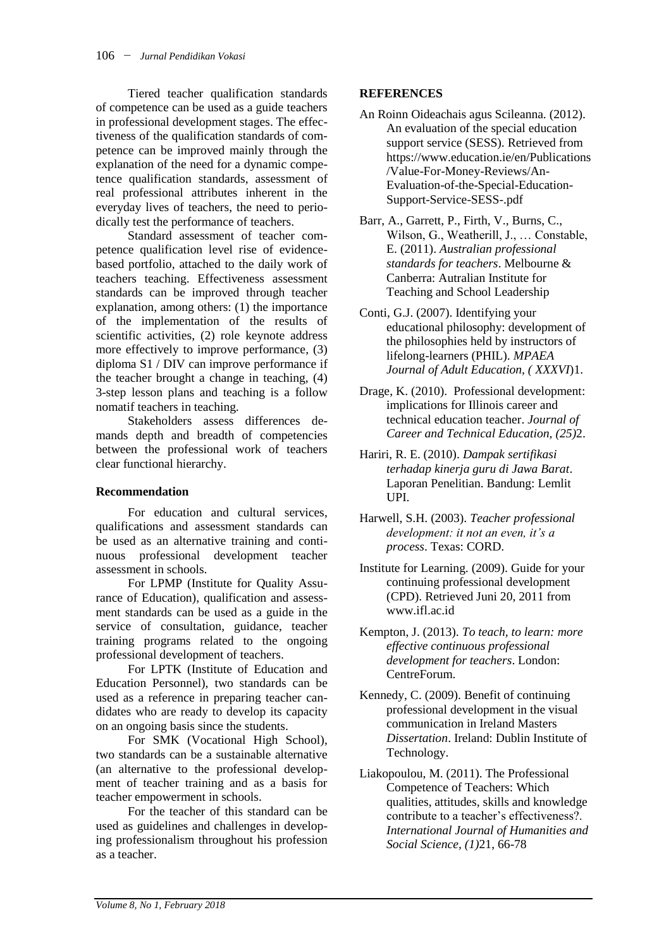Tiered teacher qualification standards of competence can be used as a guide teachers in professional development stages. The effectiveness of the qualification standards of competence can be improved mainly through the explanation of the need for a dynamic competence qualification standards, assessment of real professional attributes inherent in the everyday lives of teachers, the need to periodically test the performance of teachers.

Standard assessment of teacher competence qualification level rise of evidencebased portfolio, attached to the daily work of teachers teaching. Effectiveness assessment standards can be improved through teacher explanation, among others: (1) the importance of the implementation of the results of scientific activities, (2) role keynote address more effectively to improve performance, (3) diploma S1 / DIV can improve performance if the teacher brought a change in teaching, (4) 3-step lesson plans and teaching is a follow nomatif teachers in teaching.

Stakeholders assess differences demands depth and breadth of competencies between the professional work of teachers clear functional hierarchy.

#### **Recommendation**

For education and cultural services, qualifications and assessment standards can be used as an alternative training and continuous professional development teacher assessment in schools.

For LPMP (Institute for Quality Assurance of Education), qualification and assessment standards can be used as a guide in the service of consultation, guidance, teacher training programs related to the ongoing professional development of teachers.

For LPTK (Institute of Education and Education Personnel), two standards can be used as a reference in preparing teacher candidates who are ready to develop its capacity on an ongoing basis since the students.

For SMK (Vocational High School), two standards can be a sustainable alternative (an alternative to the professional development of teacher training and as a basis for teacher empowerment in schools.

For the teacher of this standard can be used as guidelines and challenges in developing professionalism throughout his profession as a teacher.

### **REFERENCES**

- An Roinn Oideachais agus Scileanna. (2012). An evaluation of the special education support service (SESS). Retrieved from https://www.education.ie/en/Publications /Value-For-Money-Reviews/An-Evaluation-of-the-Special-Education-Support-Service-SESS-.pdf
- Barr, A., Garrett, P., Firth, V., Burns, C., Wilson, G., Weatherill, J., … Constable, E. (2011). *Australian professional standards for teachers*. Melbourne & Canberra: Autralian Institute for Teaching and School Leadership
- Conti, G.J. (2007). Identifying your educational philosophy: development of the philosophies held by instructors of lifelong-learners (PHIL). *MPAEA Journal of Adult Education, ( XXXVI*)1.
- Drage, K. (2010). Professional development: implications for Illinois career and technical education teacher. *Journal of Career and Technical Education, (25)*2.
- Hariri, R. E. (2010). *Dampak sertifikasi terhadap kinerja guru di Jawa Barat*. Laporan Penelitian. Bandung: Lemlit UPI.
- Harwell, S.H. (2003). *Teacher professional development: it not an even, it's a process*. Texas: CORD.
- Institute for Learning. (2009). Guide for your continuing professional development (CPD). Retrieved Juni 20, 2011 from [www.ifl.ac.id](http://www.ifl.ac.id/)
- Kempton, J. (2013). *To teach, to learn: more effective continuous professional development for teachers*. London: CentreForum.
- Kennedy, C. (2009). Benefit of continuing professional development in the visual communication in Ireland Masters *Dissertation*. Ireland: Dublin Institute of Technology.
- Liakopoulou, M. (2011). The Professional Competence of Teachers: Which qualities, attitudes, skills and knowledge contribute to a teacher's effectiveness?. *International Journal of Humanities and Social Science, (1)*21, 66-78